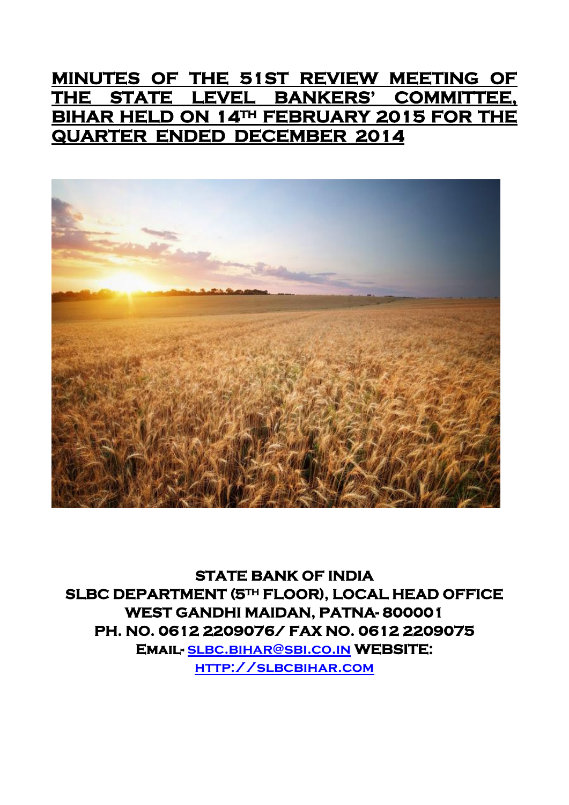# **MINUTES OF THE 51ST REVIEW MEETING OF THE STATE LEVEL BANKERS' COMMITTEE, BIHAR HELD ON 14TH FEBRUARY 2015 FOR THE QUARTER ENDED DECEMBER 2014**



**STATE BANK OF INDIA SLBC DEPARTMENT (5TH FLOOR), LOCAL HEAD OFFICE WEST GANDHI MAIDAN, PATNA- 800001 PH. NO. 0612 2209076/ FAX NO. 0612 2209075 Email- [slbc.bihar@sbi.co.in](mailto:slbc.bihar@sbi.co.in) WEBSITE: [http://slbcbihar.com](http://slbcbihar.com/)**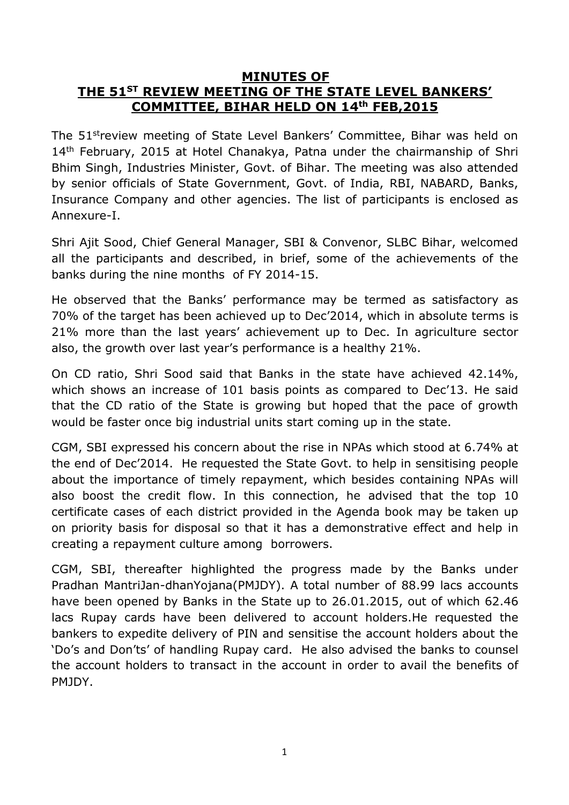#### **MINUTES OF THE 51ST REVIEW MEETING OF THE STATE LEVEL BANKERS' COMMITTEE, BIHAR HELD ON 14th FEB,2015**

The 51<sup>st</sup>review meeting of State Level Bankers' Committee, Bihar was held on 14<sup>th</sup> February, 2015 at Hotel Chanakya, Patna under the chairmanship of Shri Bhim Singh, Industries Minister, Govt. of Bihar. The meeting was also attended by senior officials of State Government, Govt. of India, RBI, NABARD, Banks, Insurance Company and other agencies. The list of participants is enclosed as Annexure-I.

Shri Ajit Sood, Chief General Manager, SBI & Convenor, SLBC Bihar, welcomed all the participants and described, in brief, some of the achievements of the banks during the nine months of FY 2014-15.

He observed that the Banks' performance may be termed as satisfactory as 70% of the target has been achieved up to Dec'2014, which in absolute terms is 21% more than the last years' achievement up to Dec. In agriculture sector also, the growth over last year's performance is a healthy 21%.

On CD ratio, Shri Sood said that Banks in the state have achieved 42.14%, which shows an increase of 101 basis points as compared to Dec'13. He said that the CD ratio of the State is growing but hoped that the pace of growth would be faster once big industrial units start coming up in the state.

CGM, SBI expressed his concern about the rise in NPAs which stood at 6.74% at the end of Dec'2014. He requested the State Govt. to help in sensitising people about the importance of timely repayment, which besides containing NPAs will also boost the credit flow. In this connection, he advised that the top 10 certificate cases of each district provided in the Agenda book may be taken up on priority basis for disposal so that it has a demonstrative effect and help in creating a repayment culture among borrowers.

CGM, SBI, thereafter highlighted the progress made by the Banks under Pradhan MantriJan-dhanYojana(PMJDY). A total number of 88.99 lacs accounts have been opened by Banks in the State up to 26.01.2015, out of which 62.46 lacs Rupay cards have been delivered to account holders.He requested the bankers to expedite delivery of PIN and sensitise the account holders about the 'Do's and Don'ts' of handling Rupay card. He also advised the banks to counsel the account holders to transact in the account in order to avail the benefits of PMJDY.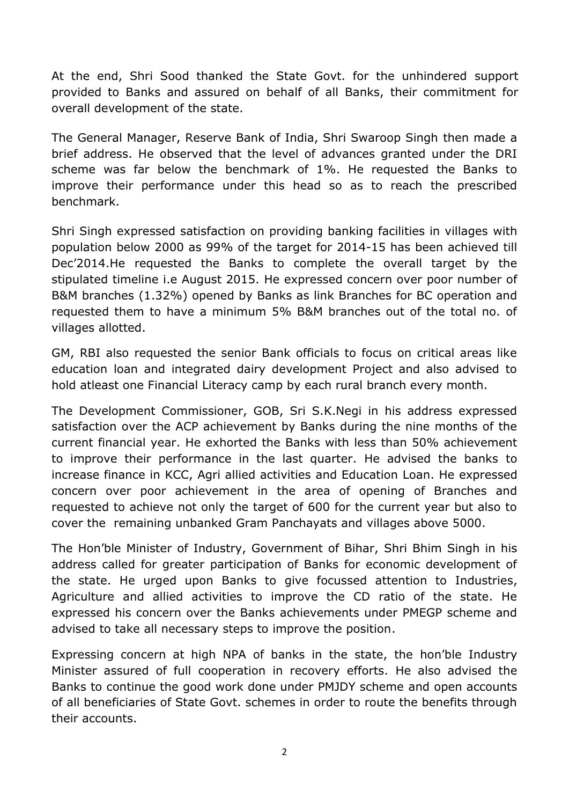At the end, Shri Sood thanked the State Govt. for the unhindered support provided to Banks and assured on behalf of all Banks, their commitment for overall development of the state.

The General Manager, Reserve Bank of India, Shri Swaroop Singh then made a brief address. He observed that the level of advances granted under the DRI scheme was far below the benchmark of 1%. He requested the Banks to improve their performance under this head so as to reach the prescribed benchmark.

Shri Singh expressed satisfaction on providing banking facilities in villages with population below 2000 as 99% of the target for 2014-15 has been achieved till Dec'2014.He requested the Banks to complete the overall target by the stipulated timeline i.e August 2015. He expressed concern over poor number of B&M branches (1.32%) opened by Banks as link Branches for BC operation and requested them to have a minimum 5% B&M branches out of the total no. of villages allotted.

GM, RBI also requested the senior Bank officials to focus on critical areas like education loan and integrated dairy development Project and also advised to hold atleast one Financial Literacy camp by each rural branch every month.

The Development Commissioner, GOB, Sri S.K.Negi in his address expressed satisfaction over the ACP achievement by Banks during the nine months of the current financial year. He exhorted the Banks with less than 50% achievement to improve their performance in the last quarter. He advised the banks to increase finance in KCC, Agri allied activities and Education Loan. He expressed concern over poor achievement in the area of opening of Branches and requested to achieve not only the target of 600 for the current year but also to cover the remaining unbanked Gram Panchayats and villages above 5000.

The Hon'ble Minister of Industry, Government of Bihar, Shri Bhim Singh in his address called for greater participation of Banks for economic development of the state. He urged upon Banks to give focussed attention to Industries, Agriculture and allied activities to improve the CD ratio of the state. He expressed his concern over the Banks achievements under PMEGP scheme and advised to take all necessary steps to improve the position.

Expressing concern at high NPA of banks in the state, the hon'ble Industry Minister assured of full cooperation in recovery efforts. He also advised the Banks to continue the good work done under PMJDY scheme and open accounts of all beneficiaries of State Govt. schemes in order to route the benefits through their accounts.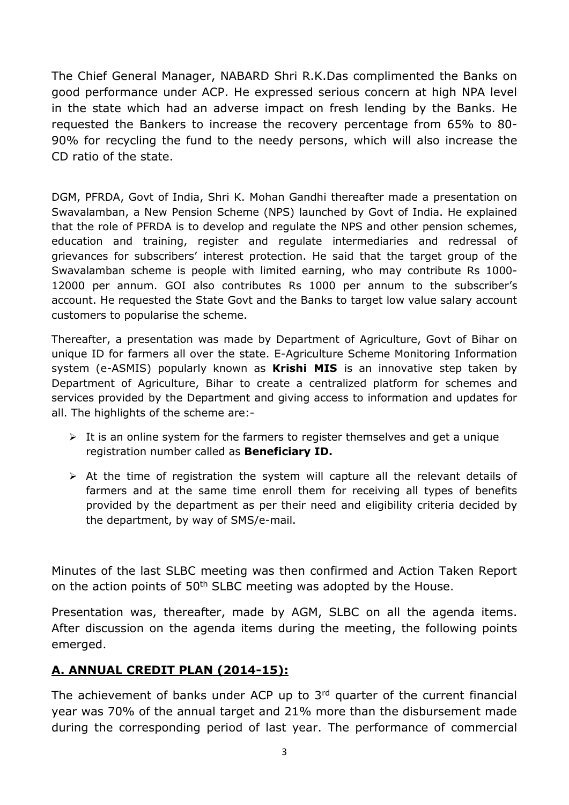The Chief General Manager, NABARD Shri R.K.Das complimented the Banks on good performance under ACP. He expressed serious concern at high NPA level in the state which had an adverse impact on fresh lending by the Banks. He requested the Bankers to increase the recovery percentage from 65% to 80- 90% for recycling the fund to the needy persons, which will also increase the CD ratio of the state.

DGM, PFRDA, Govt of India, Shri K. Mohan Gandhi thereafter made a presentation on Swavalamban, a New Pension Scheme (NPS) launched by Govt of India. He explained that the role of PFRDA is to develop and regulate the NPS and other pension schemes, education and training, register and regulate intermediaries and redressal of grievances for subscribers' interest protection. He said that the target group of the Swavalamban scheme is people with limited earning, who may contribute Rs 1000- 12000 per annum. GOI also contributes Rs 1000 per annum to the subscriber's account. He requested the State Govt and the Banks to target low value salary account customers to popularise the scheme.

Thereafter, a presentation was made by Department of Agriculture, Govt of Bihar on unique ID for farmers all over the state. E-Agriculture Scheme Monitoring Information system (e-ASMIS) popularly known as **Krishi MIS** is an innovative step taken by Department of Agriculture, Bihar to create a centralized platform for schemes and services provided by the Department and giving access to information and updates for all. The highlights of the scheme are:-

- $\triangleright$  It is an online system for the farmers to register themselves and get a unique registration number called as **Beneficiary ID.**
- $\triangleright$  At the time of registration the system will capture all the relevant details of farmers and at the same time enroll them for receiving all types of benefits provided by the department as per their need and eligibility criteria decided by the department, by way of SMS/e-mail.

Minutes of the last SLBC meeting was then confirmed and Action Taken Report on the action points of 50<sup>th</sup> SLBC meeting was adopted by the House.

Presentation was, thereafter, made by AGM, SLBC on all the agenda items. After discussion on the agenda items during the meeting, the following points emerged.

### **A. ANNUAL CREDIT PLAN (2014-15):**

The achievement of banks under ACP up to 3<sup>rd</sup> quarter of the current financial year was 70% of the annual target and 21% more than the disbursement made during the corresponding period of last year. The performance of commercial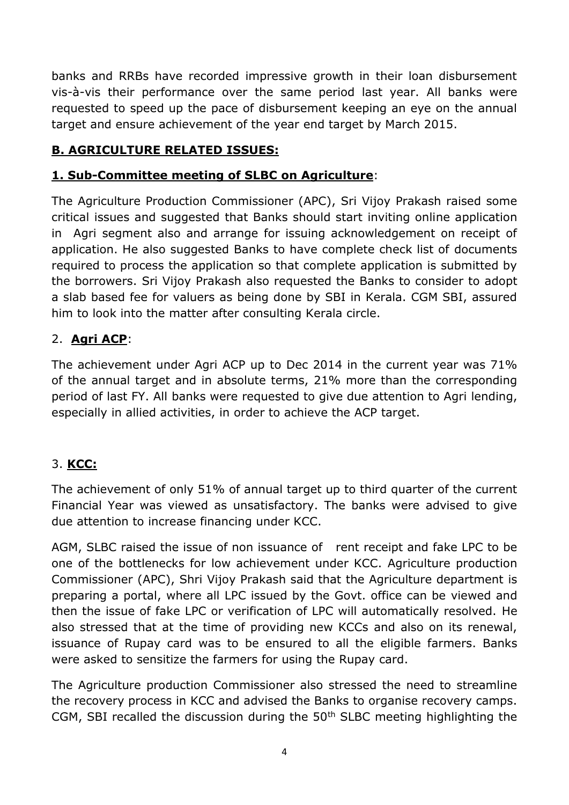banks and RRBs have recorded impressive growth in their loan disbursement vis-à-vis their performance over the same period last year. All banks were requested to speed up the pace of disbursement keeping an eye on the annual target and ensure achievement of the year end target by March 2015.

## **B. AGRICULTURE RELATED ISSUES:**

### **1. Sub-Committee meeting of SLBC on Agriculture**:

The Agriculture Production Commissioner (APC), Sri Vijoy Prakash raised some critical issues and suggested that Banks should start inviting online application in Agri segment also and arrange for issuing acknowledgement on receipt of application. He also suggested Banks to have complete check list of documents required to process the application so that complete application is submitted by the borrowers. Sri Vijoy Prakash also requested the Banks to consider to adopt a slab based fee for valuers as being done by SBI in Kerala. CGM SBI, assured him to look into the matter after consulting Kerala circle.

### 2. **Agri ACP**:

The achievement under Agri ACP up to Dec 2014 in the current year was 71% of the annual target and in absolute terms, 21% more than the corresponding period of last FY. All banks were requested to give due attention to Agri lending, especially in allied activities, in order to achieve the ACP target.

### 3. **KCC:**

The achievement of only 51% of annual target up to third quarter of the current Financial Year was viewed as unsatisfactory. The banks were advised to give due attention to increase financing under KCC.

AGM, SLBC raised the issue of non issuance of rent receipt and fake LPC to be one of the bottlenecks for low achievement under KCC. Agriculture production Commissioner (APC), Shri Vijoy Prakash said that the Agriculture department is preparing a portal, where all LPC issued by the Govt. office can be viewed and then the issue of fake LPC or verification of LPC will automatically resolved. He also stressed that at the time of providing new KCCs and also on its renewal, issuance of Rupay card was to be ensured to all the eligible farmers. Banks were asked to sensitize the farmers for using the Rupay card.

The Agriculture production Commissioner also stressed the need to streamline the recovery process in KCC and advised the Banks to organise recovery camps. CGM, SBI recalled the discussion during the 50<sup>th</sup> SLBC meeting highlighting the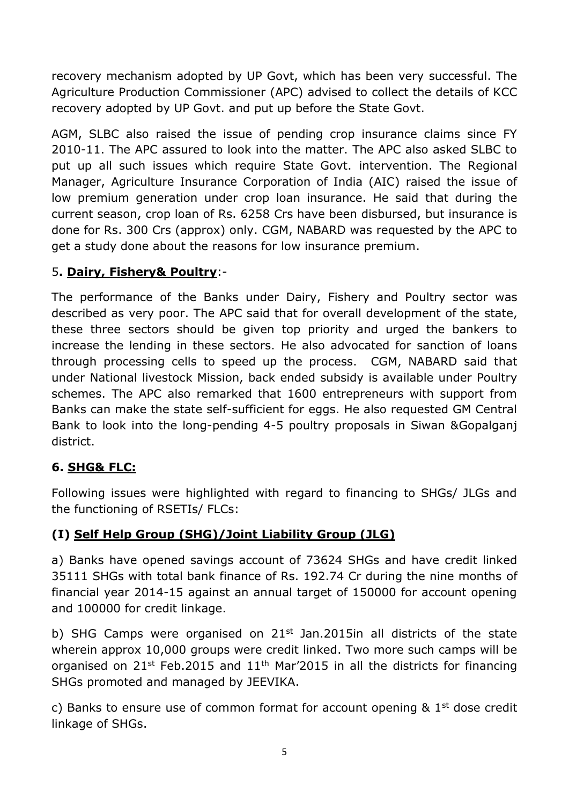recovery mechanism adopted by UP Govt, which has been very successful. The Agriculture Production Commissioner (APC) advised to collect the details of KCC recovery adopted by UP Govt. and put up before the State Govt.

AGM, SLBC also raised the issue of pending crop insurance claims since FY 2010-11. The APC assured to look into the matter. The APC also asked SLBC to put up all such issues which require State Govt. intervention. The Regional Manager, Agriculture Insurance Corporation of India (AIC) raised the issue of low premium generation under crop loan insurance. He said that during the current season, crop loan of Rs. 6258 Crs have been disbursed, but insurance is done for Rs. 300 Crs (approx) only. CGM, NABARD was requested by the APC to get a study done about the reasons for low insurance premium.

### 5**. Dairy, Fishery& Poultry**:-

The performance of the Banks under Dairy, Fishery and Poultry sector was described as very poor. The APC said that for overall development of the state, these three sectors should be given top priority and urged the bankers to increase the lending in these sectors. He also advocated for sanction of loans through processing cells to speed up the process. CGM, NABARD said that under National livestock Mission, back ended subsidy is available under Poultry schemes. The APC also remarked that 1600 entrepreneurs with support from Banks can make the state self-sufficient for eggs. He also requested GM Central Bank to look into the long-pending 4-5 poultry proposals in Siwan &Gopalganj district.

### **6. SHG& FLC:**

Following issues were highlighted with regard to financing to SHGs/ JLGs and the functioning of RSETIs/ FLCs:

### **(I) Self Help Group (SHG)/Joint Liability Group (JLG)**

a) Banks have opened savings account of 73624 SHGs and have credit linked 35111 SHGs with total bank finance of Rs. 192.74 Cr during the nine months of financial year 2014-15 against an annual target of 150000 for account opening and 100000 for credit linkage.

b) SHG Camps were organised on  $21^{st}$  Jan.2015in all districts of the state wherein approx 10,000 groups were credit linked. Two more such camps will be organised on  $21^{st}$  Feb.2015 and  $11^{th}$  Mar'2015 in all the districts for financing SHGs promoted and managed by JEEVIKA.

c) Banks to ensure use of common format for account opening  $\&$  1<sup>st</sup> dose credit linkage of SHGs.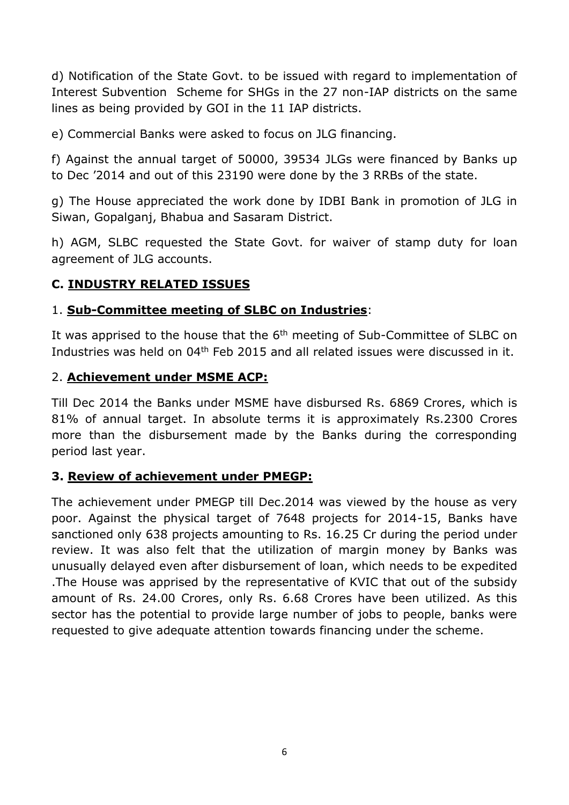d) Notification of the State Govt. to be issued with regard to implementation of Interest Subvention Scheme for SHGs in the 27 non-IAP districts on the same lines as being provided by GOI in the 11 IAP districts.

e) Commercial Banks were asked to focus on JLG financing.

f) Against the annual target of 50000, 39534 JLGs were financed by Banks up to Dec '2014 and out of this 23190 were done by the 3 RRBs of the state.

g) The House appreciated the work done by IDBI Bank in promotion of JLG in Siwan, Gopalganj, Bhabua and Sasaram District.

h) AGM, SLBC requested the State Govt. for waiver of stamp duty for loan agreement of JLG accounts.

### **C. INDUSTRY RELATED ISSUES**

#### 1. **Sub-Committee meeting of SLBC on Industries**:

It was apprised to the house that the  $6<sup>th</sup>$  meeting of Sub-Committee of SLBC on Industries was held on 04<sup>th</sup> Feb 2015 and all related issues were discussed in it.

#### 2. **Achievement under MSME ACP:**

Till Dec 2014 the Banks under MSME have disbursed Rs. 6869 Crores, which is 81% of annual target. In absolute terms it is approximately Rs.2300 Crores more than the disbursement made by the Banks during the corresponding period last year.

#### **3. Review of achievement under PMEGP:**

The achievement under PMEGP till Dec.2014 was viewed by the house as very poor. Against the physical target of 7648 projects for 2014-15, Banks have sanctioned only 638 projects amounting to Rs. 16.25 Cr during the period under review. It was also felt that the utilization of margin money by Banks was unusually delayed even after disbursement of loan, which needs to be expedited .The House was apprised by the representative of KVIC that out of the subsidy amount of Rs. 24.00 Crores, only Rs. 6.68 Crores have been utilized. As this sector has the potential to provide large number of jobs to people, banks were requested to give adequate attention towards financing under the scheme.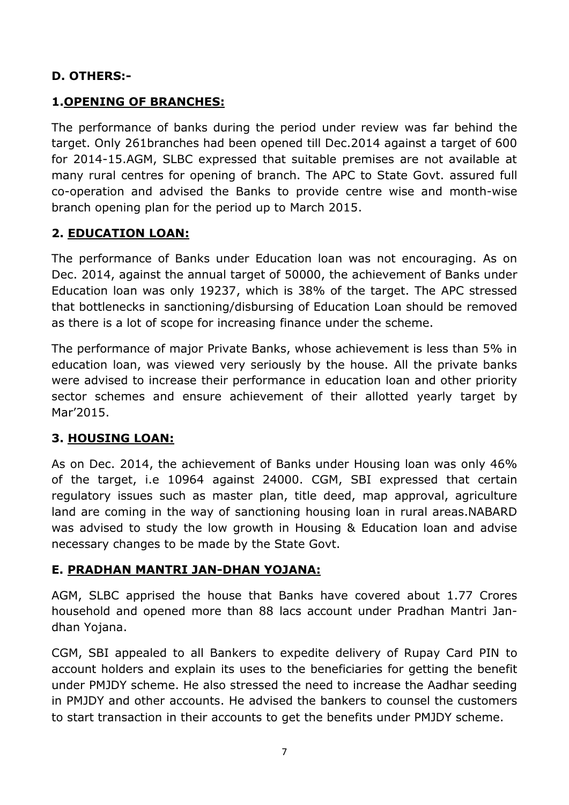### **D. OTHERS:-**

#### **1.OPENING OF BRANCHES:**

The performance of banks during the period under review was far behind the target. Only 261branches had been opened till Dec.2014 against a target of 600 for 2014-15.AGM, SLBC expressed that suitable premises are not available at many rural centres for opening of branch. The APC to State Govt. assured full co-operation and advised the Banks to provide centre wise and month-wise branch opening plan for the period up to March 2015.

#### **2. EDUCATION LOAN:**

The performance of Banks under Education loan was not encouraging. As on Dec. 2014, against the annual target of 50000, the achievement of Banks under Education loan was only 19237, which is 38% of the target. The APC stressed that bottlenecks in sanctioning/disbursing of Education Loan should be removed as there is a lot of scope for increasing finance under the scheme.

The performance of major Private Banks, whose achievement is less than 5% in education loan, was viewed very seriously by the house. All the private banks were advised to increase their performance in education loan and other priority sector schemes and ensure achievement of their allotted yearly target by Mar'2015.

#### **3. HOUSING LOAN:**

As on Dec. 2014, the achievement of Banks under Housing loan was only 46% of the target, i.e 10964 against 24000. CGM, SBI expressed that certain regulatory issues such as master plan, title deed, map approval, agriculture land are coming in the way of sanctioning housing loan in rural areas.NABARD was advised to study the low growth in Housing & Education loan and advise necessary changes to be made by the State Govt.

#### **E. PRADHAN MANTRI JAN-DHAN YOJANA:**

AGM, SLBC apprised the house that Banks have covered about 1.77 Crores household and opened more than 88 lacs account under Pradhan Mantri Jandhan Yojana.

CGM, SBI appealed to all Bankers to expedite delivery of Rupay Card PIN to account holders and explain its uses to the beneficiaries for getting the benefit under PMJDY scheme. He also stressed the need to increase the Aadhar seeding in PMJDY and other accounts. He advised the bankers to counsel the customers to start transaction in their accounts to get the benefits under PMJDY scheme.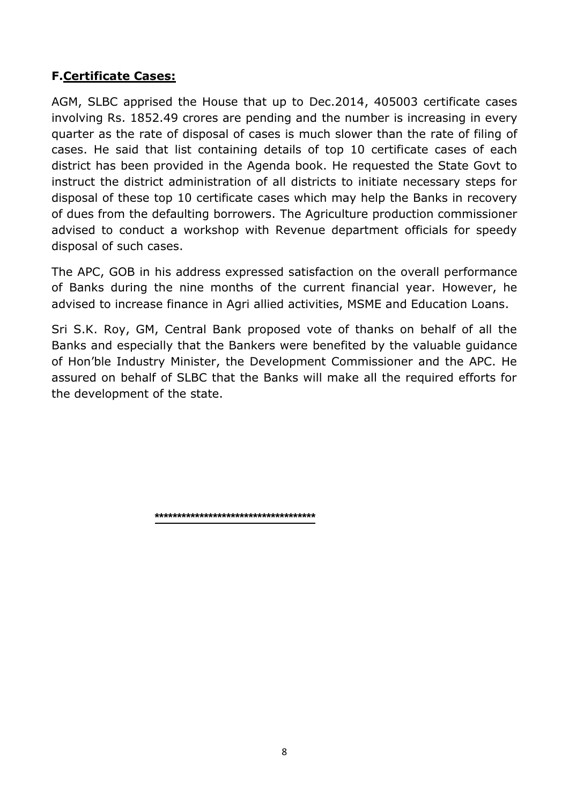#### **F.Certificate Cases:**

AGM, SLBC apprised the House that up to Dec.2014, 405003 certificate cases involving Rs. 1852.49 crores are pending and the number is increasing in every quarter as the rate of disposal of cases is much slower than the rate of filing of cases. He said that list containing details of top 10 certificate cases of each district has been provided in the Agenda book. He requested the State Govt to instruct the district administration of all districts to initiate necessary steps for disposal of these top 10 certificate cases which may help the Banks in recovery of dues from the defaulting borrowers. The Agriculture production commissioner advised to conduct a workshop with Revenue department officials for speedy disposal of such cases.

The APC, GOB in his address expressed satisfaction on the overall performance of Banks during the nine months of the current financial year. However, he advised to increase finance in Agri allied activities, MSME and Education Loans.

Sri S.K. Roy, GM, Central Bank proposed vote of thanks on behalf of all the Banks and especially that the Bankers were benefited by the valuable guidance of Hon'ble Industry Minister, the Development Commissioner and the APC. He assured on behalf of SLBC that the Banks will make all the required efforts for the development of the state.

**\*\*\*\*\*\*\*\*\*\*\*\*\*\*\*\*\*\*\*\*\*\*\*\*\*\*\*\*\*\*\*\*\*\*\*\***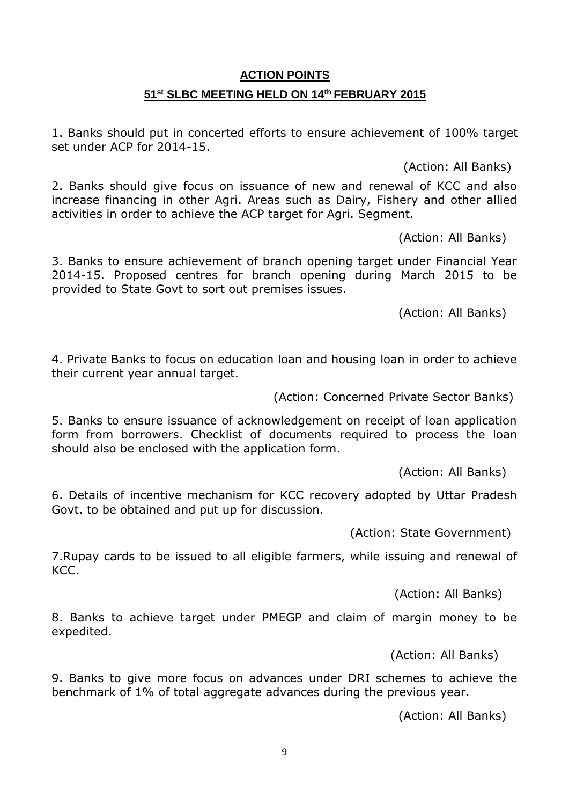### **ACTION POINTS 51st SLBC MEETING HELD ON 14th FEBRUARY 2015**

1. Banks should put in concerted efforts to ensure achievement of 100% target set under ACP for 2014-15.

(Action: All Banks)

2. Banks should give focus on issuance of new and renewal of KCC and also increase financing in other Agri. Areas such as Dairy, Fishery and other allied activities in order to achieve the ACP target for Agri. Segment.

(Action: All Banks)

3. Banks to ensure achievement of branch opening target under Financial Year 2014-15. Proposed centres for branch opening during March 2015 to be provided to State Govt to sort out premises issues.

(Action: All Banks)

4. Private Banks to focus on education loan and housing loan in order to achieve their current year annual target.

(Action: Concerned Private Sector Banks)

5. Banks to ensure issuance of acknowledgement on receipt of loan application form from borrowers. Checklist of documents required to process the loan should also be enclosed with the application form.

(Action: All Banks)

6. Details of incentive mechanism for KCC recovery adopted by Uttar Pradesh Govt. to be obtained and put up for discussion.

(Action: State Government)

7.Rupay cards to be issued to all eligible farmers, while issuing and renewal of KCC.

(Action: All Banks)

8. Banks to achieve target under PMEGP and claim of margin money to be expedited.

(Action: All Banks)

9. Banks to give more focus on advances under DRI schemes to achieve the benchmark of 1% of total aggregate advances during the previous year.

(Action: All Banks)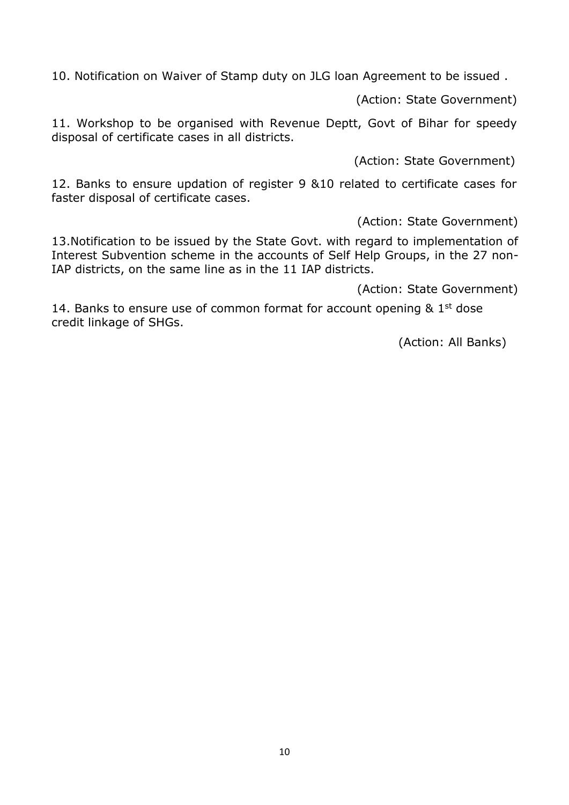10. Notification on Waiver of Stamp duty on JLG loan Agreement to be issued .

(Action: State Government)

11. Workshop to be organised with Revenue Deptt, Govt of Bihar for speedy disposal of certificate cases in all districts.

(Action: State Government)

12. Banks to ensure updation of register 9 &10 related to certificate cases for faster disposal of certificate cases.

(Action: State Government)

13.Notification to be issued by the State Govt. with regard to implementation of Interest Subvention scheme in the accounts of Self Help Groups, in the 27 non-IAP districts, on the same line as in the 11 IAP districts.

(Action: State Government)

14. Banks to ensure use of common format for account opening & 1<sup>st</sup> dose credit linkage of SHGs.

(Action: All Banks)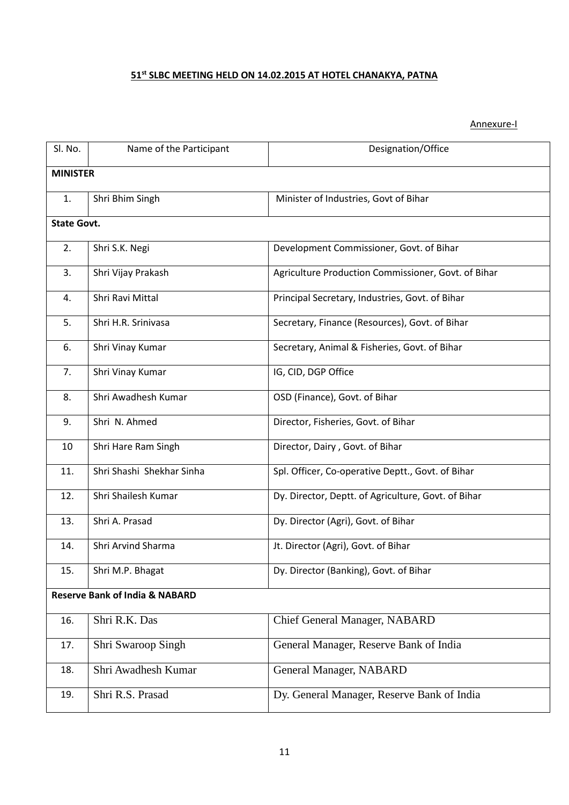#### **51st SLBC MEETING HELD ON 14.02.2015 AT HOTEL CHANAKYA, PATNA**

#### Annexure-I

| Sl. No.                                   | Name of the Participant   | Designation/Office                                  |  |  |  |
|-------------------------------------------|---------------------------|-----------------------------------------------------|--|--|--|
|                                           | <b>MINISTER</b>           |                                                     |  |  |  |
| 1.                                        | Shri Bhim Singh           | Minister of Industries, Govt of Bihar               |  |  |  |
|                                           | <b>State Govt.</b>        |                                                     |  |  |  |
| 2.                                        | Shri S.K. Negi            | Development Commissioner, Govt. of Bihar            |  |  |  |
| 3.                                        | Shri Vijay Prakash        | Agriculture Production Commissioner, Govt. of Bihar |  |  |  |
| 4.                                        | Shri Ravi Mittal          | Principal Secretary, Industries, Govt. of Bihar     |  |  |  |
| 5.                                        | Shri H.R. Srinivasa       | Secretary, Finance (Resources), Govt. of Bihar      |  |  |  |
| 6.                                        | Shri Vinay Kumar          | Secretary, Animal & Fisheries, Govt. of Bihar       |  |  |  |
| 7.                                        | Shri Vinay Kumar          | IG, CID, DGP Office                                 |  |  |  |
| 8.                                        | Shri Awadhesh Kumar       | OSD (Finance), Govt. of Bihar                       |  |  |  |
| 9.                                        | Shri N. Ahmed             | Director, Fisheries, Govt. of Bihar                 |  |  |  |
| 10                                        | Shri Hare Ram Singh       | Director, Dairy, Govt. of Bihar                     |  |  |  |
| 11.                                       | Shri Shashi Shekhar Sinha | Spl. Officer, Co-operative Deptt., Govt. of Bihar   |  |  |  |
| 12.                                       | Shri Shailesh Kumar       | Dy. Director, Deptt. of Agriculture, Govt. of Bihar |  |  |  |
| 13.                                       | Shri A. Prasad            | Dy. Director (Agri), Govt. of Bihar                 |  |  |  |
| 14.                                       | Shri Arvind Sharma        | Jt. Director (Agri), Govt. of Bihar                 |  |  |  |
| 15.                                       | Shri M.P. Bhagat          | Dy. Director (Banking), Govt. of Bihar              |  |  |  |
| <b>Reserve Bank of India &amp; NABARD</b> |                           |                                                     |  |  |  |
| 16.                                       | Shri R.K. Das             | Chief General Manager, NABARD                       |  |  |  |
| 17.                                       | Shri Swaroop Singh        | General Manager, Reserve Bank of India              |  |  |  |
| 18.                                       | Shri Awadhesh Kumar       | General Manager, NABARD                             |  |  |  |
| 19.                                       | Shri R.S. Prasad          | Dy. General Manager, Reserve Bank of India          |  |  |  |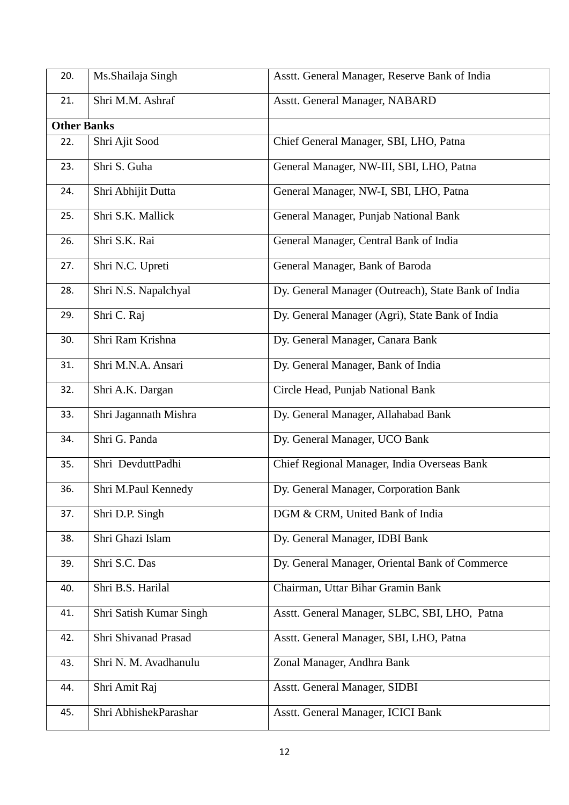| 20.                | Ms.Shailaja Singh       | Asstt. General Manager, Reserve Bank of India       |  |  |
|--------------------|-------------------------|-----------------------------------------------------|--|--|
| 21.                | Shri M.M. Ashraf        | Asstt. General Manager, NABARD                      |  |  |
| <b>Other Banks</b> |                         |                                                     |  |  |
| 22.                | Shri Ajit Sood          | Chief General Manager, SBI, LHO, Patna              |  |  |
| 23.                | Shri S. Guha            | General Manager, NW-III, SBI, LHO, Patna            |  |  |
| 24.                | Shri Abhijit Dutta      | General Manager, NW-I, SBI, LHO, Patna              |  |  |
| 25.                | Shri S.K. Mallick       | General Manager, Punjab National Bank               |  |  |
| 26.                | Shri S.K. Rai           | General Manager, Central Bank of India              |  |  |
| 27.                | Shri N.C. Upreti        | General Manager, Bank of Baroda                     |  |  |
| 28.                | Shri N.S. Napalchyal    | Dy. General Manager (Outreach), State Bank of India |  |  |
| 29.                | Shri C. Raj             | Dy. General Manager (Agri), State Bank of India     |  |  |
| 30.                | Shri Ram Krishna        | Dy. General Manager, Canara Bank                    |  |  |
| 31.                | Shri M.N.A. Ansari      | Dy. General Manager, Bank of India                  |  |  |
| 32.                | Shri A.K. Dargan        | Circle Head, Punjab National Bank                   |  |  |
| 33.                | Shri Jagannath Mishra   | Dy. General Manager, Allahabad Bank                 |  |  |
| 34.                | Shri G. Panda           | Dy. General Manager, UCO Bank                       |  |  |
| 35.                | Shri DevduttPadhi       | Chief Regional Manager, India Overseas Bank         |  |  |
| 36.                | Shri M.Paul Kennedy     | Dy. General Manager, Corporation Bank               |  |  |
| 37.                | Shri D.P. Singh         | DGM & CRM, United Bank of India                     |  |  |
| 38.                | Shri Ghazi Islam        | Dy. General Manager, IDBI Bank                      |  |  |
| 39.                | Shri S.C. Das           | Dy. General Manager, Oriental Bank of Commerce      |  |  |
| 40.                | Shri B.S. Harilal       | Chairman, Uttar Bihar Gramin Bank                   |  |  |
| 41.                | Shri Satish Kumar Singh | Asstt. General Manager, SLBC, SBI, LHO, Patna       |  |  |
| 42.                | Shri Shivanad Prasad    | Asstt. General Manager, SBI, LHO, Patna             |  |  |
| 43.                | Shri N. M. Avadhanulu   | Zonal Manager, Andhra Bank                          |  |  |
| 44.                | Shri Amit Raj           | Asstt. General Manager, SIDBI                       |  |  |
| 45.                | Shri AbhishekParashar   | Asstt. General Manager, ICICI Bank                  |  |  |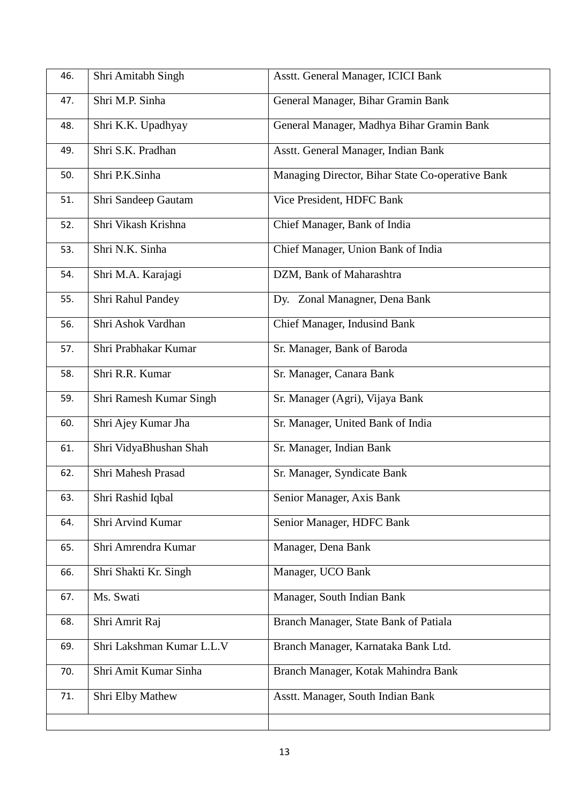| 46. | Shri Amitabh Singh        | Asstt. General Manager, ICICI Bank               |
|-----|---------------------------|--------------------------------------------------|
| 47. | Shri M.P. Sinha           | General Manager, Bihar Gramin Bank               |
| 48. | Shri K.K. Upadhyay        | General Manager, Madhya Bihar Gramin Bank        |
| 49. | Shri S.K. Pradhan         | Asstt. General Manager, Indian Bank              |
| 50. | Shri P.K.Sinha            | Managing Director, Bihar State Co-operative Bank |
| 51. | Shri Sandeep Gautam       | Vice President, HDFC Bank                        |
| 52. | Shri Vikash Krishna       | Chief Manager, Bank of India                     |
| 53. | Shri N.K. Sinha           | Chief Manager, Union Bank of India               |
| 54. | Shri M.A. Karajagi        | DZM, Bank of Maharashtra                         |
| 55. | Shri Rahul Pandey         | Dy. Zonal Managner, Dena Bank                    |
| 56. | Shri Ashok Vardhan        | Chief Manager, Indusind Bank                     |
| 57. | Shri Prabhakar Kumar      | Sr. Manager, Bank of Baroda                      |
| 58. | Shri R.R. Kumar           | Sr. Manager, Canara Bank                         |
| 59. | Shri Ramesh Kumar Singh   | Sr. Manager (Agri), Vijaya Bank                  |
| 60. | Shri Ajey Kumar Jha       | Sr. Manager, United Bank of India                |
| 61. | Shri VidyaBhushan Shah    | Sr. Manager, Indian Bank                         |
| 62. | Shri Mahesh Prasad        | Sr. Manager, Syndicate Bank                      |
| 63. | Shri Rashid Iqbal         | Senior Manager, Axis Bank                        |
| 64. | Shri Arvind Kumar         | Senior Manager, HDFC Bank                        |
| 65. | Shri Amrendra Kumar       | Manager, Dena Bank                               |
| 66. | Shri Shakti Kr. Singh     | Manager, UCO Bank                                |
| 67. | Ms. Swati                 | Manager, South Indian Bank                       |
| 68. | Shri Amrit Raj            | Branch Manager, State Bank of Patiala            |
| 69. | Shri Lakshman Kumar L.L.V | Branch Manager, Karnataka Bank Ltd.              |
| 70. | Shri Amit Kumar Sinha     | Branch Manager, Kotak Mahindra Bank              |
| 71. | Shri Elby Mathew          | Asstt. Manager, South Indian Bank                |
|     |                           |                                                  |